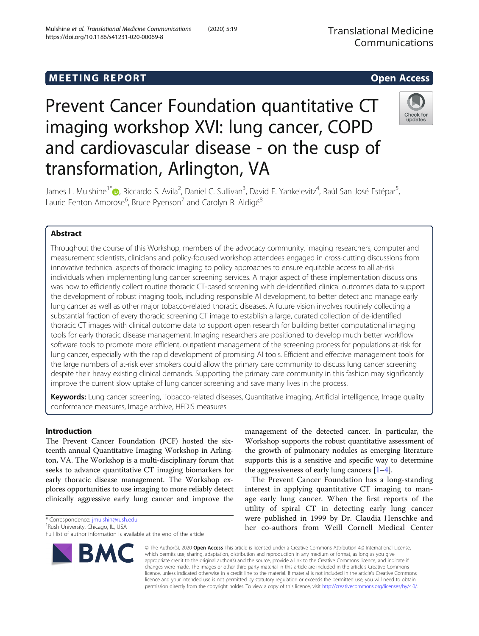# **MEETING REPORT CONSUMING A REPORT** AND THE SECOND ACCESS OPEN ACCESS Prevent Cancer Foundation quantitative CT

transformation, Arlington, VA

Laurie Fenton Ambrose<sup>6</sup>, Bruce Pyenson<sup>7</sup> and Carolyn R. Aldigé<sup>8</sup>

imaging workshop XVI: lung cancer, COPD

and cardiovascular disease - on the cusp of

James L. Mulshine<sup>1\*</sup>®, Riccardo S. Avila<sup>2</sup>, Daniel C. Sullivan<sup>3</sup>, David F. Yankelevitz<sup>4</sup>, Raúl San José Estépar<sup>5</sup>

Throughout the course of this Workshop, members of the advocacy community, imaging researchers, computer and measurement scientists, clinicians and policy-focused workshop attendees engaged in cross-cutting discussions from

Keywords: Lung cancer screening, Tobacco-related diseases, Quantitative imaging, Artificial intelligence, Image quality

innovative technical aspects of thoracic imaging to policy approaches to ensure equitable access to all at-risk individuals when implementing lung cancer screening services. A major aspect of these implementation discussions was how to efficiently collect routine thoracic CT-based screening with de-identified clinical outcomes data to support the development of robust imaging tools, including responsible AI development, to better detect and manage early lung cancer as well as other major tobacco-related thoracic diseases. A future vision involves routinely collecting a substantial fraction of every thoracic screening CT image to establish a large, curated collection of de-identified thoracic CT images with clinical outcome data to support open research for building better computational imaging tools for early thoracic disease management. Imaging researchers are positioned to develop much better workflow software tools to promote more efficient, outpatient management of the screening process for populations at-risk for lung cancer, especially with the rapid development of promising AI tools. Efficient and effective management tools for the large numbers of at-risk ever smokers could allow the primary care community to discuss lung cancer screening despite their heavy existing clinical demands. Supporting the primary care community in this fashion may significantly

improve the current slow uptake of lung cancer screening and save many lives in the process.

## management of the detected cancer. In particular, the Workshop supports the robust quantitative assessment of the growth of pulmonary nodules as emerging literature supports this is a sensitive and specific way to determine the aggressiveness of early lung cancers  $[1-4]$  $[1-4]$  $[1-4]$  $[1-4]$  $[1-4]$ .

The Prevent Cancer Foundation has a long-standing interest in applying quantitative CT imaging to manage early lung cancer. When the first reports of the utility of spiral CT in detecting early lung cancer were published in 1999 by Dr. Claudia Henschke and her co-authors from Weill Cornell Medical Center

© The Author(s). 2020 Open Access This article is licensed under a Creative Commons Attribution 4.0 International License, which permits use, sharing, adaptation, distribution and reproduction in any medium or format, as long as you give appropriate credit to the original author(s) and the source, provide a link to the Creative Commons licence, and indicate if changes were made. The images or other third party material in this article are included in the article's Creative Commons licence, unless indicated otherwise in a credit line to the material. If material is not included in the article's Creative Commons licence and your intended use is not permitted by statutory regulation or exceeds the permitted use, you will need to obtain permission directly from the copyright holder. To view a copy of this licence, visit [http://creativecommons.org/licenses/by/4.0/.](http://creativecommons.org/licenses/by/4.0/)

\* Correspondence: [jmulshin@rush.edu](mailto:jmulshin@rush.edu) <sup>1</sup>

Introduction

Abstract

**BMC** 

conformance measures, Image archive, HEDIS measures

The Prevent Cancer Foundation (PCF) hosted the sixteenth annual Quantitative Imaging Workshop in Arlington, VA. The Workshop is a multi-disciplinary forum that seeks to advance quantitative CT imaging biomarkers for early thoracic disease management. The Workshop explores opportunities to use imaging to more reliably detect clinically aggressive early lung cancer and improve the



,

<sup>&</sup>lt;sup>1</sup>Rush University, Chicago, IL, USA

Full list of author information is available at the end of the article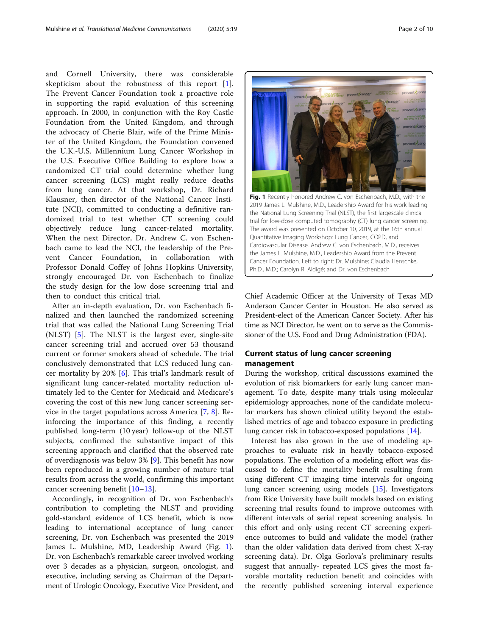and Cornell University, there was considerable skepticism about the robustness of this report [\[1](#page-8-0)]. The Prevent Cancer Foundation took a proactive role in supporting the rapid evaluation of this screening approach. In 2000, in conjunction with the Roy Castle Foundation from the United Kingdom, and through the advocacy of Cherie Blair, wife of the Prime Minister of the United Kingdom, the Foundation convened the U.K.-U.S. Millennium Lung Cancer Workshop in the U.S. Executive Office Building to explore how a randomized CT trial could determine whether lung cancer screening (LCS) might really reduce deaths from lung cancer. At that workshop, Dr. Richard Klausner, then director of the National Cancer Institute (NCI), committed to conducting a definitive randomized trial to test whether CT screening could objectively reduce lung cancer-related mortality. When the next Director, Dr. Andrew C. von Eschenbach came to lead the NCI, the leadership of the Prevent Cancer Foundation, in collaboration with Professor Donald Coffey of Johns Hopkins University, strongly encouraged Dr. von Eschenbach to finalize the study design for the low dose screening trial and then to conduct this critical trial.

After an in-depth evaluation, Dr. von Eschenbach finalized and then launched the randomized screening trial that was called the National Lung Screening Trial (NLST) [\[5](#page-8-0)]. The NLST is the largest ever, single-site cancer screening trial and accrued over 53 thousand current or former smokers ahead of schedule. The trial conclusively demonstrated that LCS reduced lung cancer mortality by 20% [[6\]](#page-8-0). This trial's landmark result of significant lung cancer-related mortality reduction ultimately led to the Center for Medicaid and Medicare's covering the cost of this new lung cancer screening service in the target populations across America [[7,](#page-8-0) [8\]](#page-8-0). Reinforcing the importance of this finding, a recently published long-term (10 year) follow-up of the NLST subjects, confirmed the substantive impact of this screening approach and clarified that the observed rate of overdiagnosis was below 3% [\[9](#page-8-0)]. This benefit has now been reproduced in a growing number of mature trial results from across the world, confirming this important cancer screening benefit [\[10](#page-8-0)–[13](#page-8-0)].

Accordingly, in recognition of Dr. von Eschenbach's contribution to completing the NLST and providing gold-standard evidence of LCS benefit, which is now leading to international acceptance of lung cancer screening, Dr. von Eschenbach was presented the 2019 James L. Mulshine, MD, Leadership Award (Fig. 1). Dr. von Eschenbach's remarkable career involved working over 3 decades as a physician, surgeon, oncologist, and executive, including serving as Chairman of the Department of Urologic Oncology, Executive Vice President, and



Chief Academic Officer at the University of Texas MD Anderson Cancer Center in Houston. He also served as President-elect of the American Cancer Society. After his time as NCI Director, he went on to serve as the Commissioner of the U.S. Food and Drug Administration (FDA).

## Current status of lung cancer screening management

During the workshop, critical discussions examined the evolution of risk biomarkers for early lung cancer management. To date, despite many trials using molecular epidemiology approaches, none of the candidate molecular markers has shown clinical utility beyond the established metrics of age and tobacco exposure in predicting lung cancer risk in tobacco-exposed populations [\[14](#page-8-0)].

Interest has also grown in the use of modeling approaches to evaluate risk in heavily tobacco-exposed populations. The evolution of a modeling effort was discussed to define the mortality benefit resulting from using different CT imaging time intervals for ongoing lung cancer screening using models [[15](#page-8-0)]. Investigators from Rice University have built models based on existing screening trial results found to improve outcomes with different intervals of serial repeat screening analysis. In this effort and only using recent CT screening experience outcomes to build and validate the model (rather than the older validation data derived from chest X-ray screening data). Dr. Olga Gorlova's preliminary results suggest that annually- repeated LCS gives the most favorable mortality reduction benefit and coincides with the recently published screening interval experience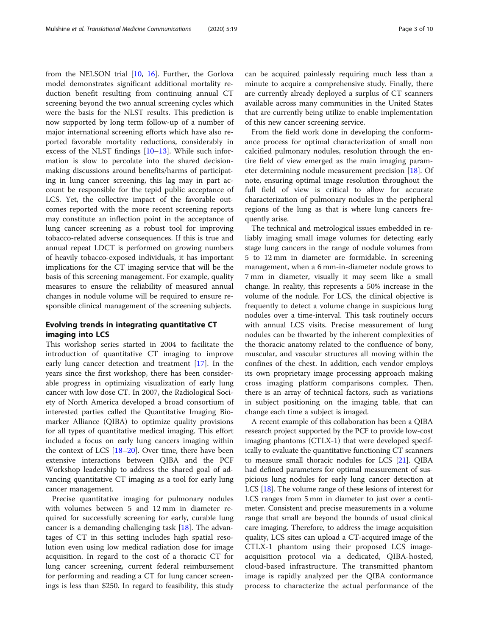from the NELSON trial [\[10](#page-8-0), [16\]](#page-8-0). Further, the Gorlova model demonstrates significant additional mortality reduction benefit resulting from continuing annual CT screening beyond the two annual screening cycles which were the basis for the NLST results. This prediction is now supported by long term follow-up of a number of major international screening efforts which have also reported favorable mortality reductions, considerably in excess of the NLST findings [[10](#page-8-0)–[13](#page-8-0)]. While such information is slow to percolate into the shared decisionmaking discussions around benefits/harms of participating in lung cancer screening, this lag may in part account be responsible for the tepid public acceptance of LCS. Yet, the collective impact of the favorable outcomes reported with the more recent screening reports may constitute an inflection point in the acceptance of lung cancer screening as a robust tool for improving tobacco-related adverse consequences. If this is true and annual repeat LDCT is performed on growing numbers of heavily tobacco-exposed individuals, it has important implications for the CT imaging service that will be the basis of this screening management. For example, quality measures to ensure the reliability of measured annual changes in nodule volume will be required to ensure responsible clinical management of the screening subjects.

## Evolving trends in integrating quantitative CT imaging into LCS

This workshop series started in 2004 to facilitate the introduction of quantitative CT imaging to improve early lung cancer detection and treatment [[17](#page-8-0)]. In the years since the first workshop, there has been considerable progress in optimizing visualization of early lung cancer with low dose CT. In 2007, the Radiological Society of North America developed a broad consortium of interested parties called the Quantitative Imaging Biomarker Alliance (QIBA) to optimize quality provisions for all types of quantitative medical imaging. This effort included a focus on early lung cancers imaging within the context of LCS [\[18](#page-8-0)–[20](#page-8-0)]. Over time, there have been extensive interactions between QIBA and the PCF Workshop leadership to address the shared goal of advancing quantitative CT imaging as a tool for early lung cancer management.

Precise quantitative imaging for pulmonary nodules with volumes between 5 and 12 mm in diameter required for successfully screening for early, curable lung cancer is a demanding challenging task [\[18\]](#page-8-0). The advantages of CT in this setting includes high spatial resolution even using low medical radiation dose for image acquisition. In regard to the cost of a thoracic CT for lung cancer screening, current federal reimbursement for performing and reading a CT for lung cancer screenings is less than \$250. In regard to feasibility, this study can be acquired painlessly requiring much less than a minute to acquire a comprehensive study. Finally, there are currently already deployed a surplus of CT scanners available across many communities in the United States that are currently being utilize to enable implementation of this new cancer screening service.

From the field work done in developing the conformance process for optimal characterization of small non calcified pulmonary nodules, resolution through the entire field of view emerged as the main imaging parameter determining nodule measurement precision [[18\]](#page-8-0). Of note, ensuring optimal image resolution throughout the full field of view is critical to allow for accurate characterization of pulmonary nodules in the peripheral regions of the lung as that is where lung cancers frequently arise.

The technical and metrological issues embedded in reliably imaging small image volumes for detecting early stage lung cancers in the range of nodule volumes from 5 to 12 mm in diameter are formidable. In screening management, when a 6 mm-in-diameter nodule grows to 7 mm in diameter, visually it may seem like a small change. In reality, this represents a 50% increase in the volume of the nodule. For LCS, the clinical objective is frequently to detect a volume change in suspicious lung nodules over a time-interval. This task routinely occurs with annual LCS visits. Precise measurement of lung nodules can be thwarted by the inherent complexities of the thoracic anatomy related to the confluence of bony, muscular, and vascular structures all moving within the confines of the chest. In addition, each vendor employs its own proprietary image processing approach making cross imaging platform comparisons complex. Then, there is an array of technical factors, such as variations in subject positioning on the imaging table, that can change each time a subject is imaged.

A recent example of this collaboration has been a QIBA research project supported by the PCF to provide low-cost imaging phantoms (CTLX-1) that were developed specifically to evaluate the quantitative functioning CT scanners to measure small thoracic nodules for LCS [[21](#page-8-0)]. QIBA had defined parameters for optimal measurement of suspicious lung nodules for early lung cancer detection at LCS [\[18](#page-8-0)]. The volume range of these lesions of interest for LCS ranges from 5 mm in diameter to just over a centimeter. Consistent and precise measurements in a volume range that small are beyond the bounds of usual clinical care imaging. Therefore, to address the image acquisition quality, LCS sites can upload a CT-acquired image of the CTLX-1 phantom using their proposed LCS imageacquisition protocol via a dedicated, QIBA-hosted, cloud-based infrastructure. The transmitted phantom image is rapidly analyzed per the QIBA conformance process to characterize the actual performance of the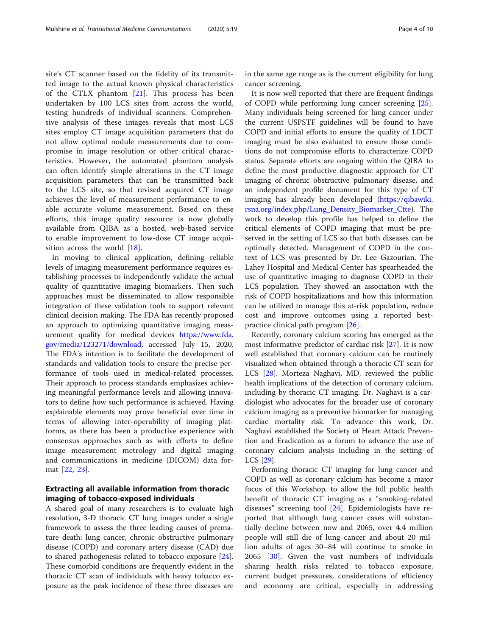site's CT scanner based on the fidelity of its transmitted image to the actual known physical characteristics of the CTLX phantom [\[21](#page-8-0)]. This process has been undertaken by 100 LCS sites from across the world, testing hundreds of individual scanners. Comprehensive analysis of these images reveals that most LCS sites employ CT image acquisition parameters that do not allow optimal nodule measurements due to compromise in image resolution or other critical characteristics. However, the automated phantom analysis can often identify simple alterations in the CT image acquisition parameters that can be transmitted back to the LCS site, so that revised acquired CT image achieves the level of measurement performance to enable accurate volume measurement. Based on these efforts, this image quality resource is now globally available from QIBA as a hosted, web-based service to enable improvement to low-dose CT image acquisition across the world [[18](#page-8-0)].

In moving to clinical application, defining reliable levels of imaging measurement performance requires establishing processes to independently validate the actual quality of quantitative imaging biomarkers. Then such approaches must be disseminated to allow responsible integration of these validation tools to support relevant clinical decision making. The FDA has recently proposed an approach to optimizing quantitative imaging measurement quality for medical devices [https://www.fda.](https://www.fda.gov/media/123271/download) [gov/media/123271/download,](https://www.fda.gov/media/123271/download) accessed July 15, 2020. The FDA's intention is to facilitate the development of standards and validation tools to ensure the precise performance of tools used in medical-related processes. Their approach to process standards emphasizes achieving meaningful performance levels and allowing innovators to define how such performance is achieved. Having explainable elements may prove beneficial over time in terms of allowing inter-operability of imaging platforms, as there has been a productive experience with consensus approaches such as with efforts to define image measurement metrology and digital imaging and communications in medicine (DICOM) data format [[22,](#page-8-0) [23](#page-8-0)].

## Extracting all available information from thoracic imaging of tobacco-exposed individuals

A shared goal of many researchers is to evaluate high resolution, 3-D thoracic CT lung images under a single framework to assess the three leading causes of premature death: lung cancer, chronic obstructive pulmonary disease (COPD) and coronary artery disease (CAD) due to shared pathogenesis related to tobacco exposure [\[24](#page-8-0)]. These comorbid conditions are frequently evident in the thoracic CT scan of individuals with heavy tobacco exposure as the peak incidence of these three diseases are in the same age range as is the current eligibility for lung cancer screening.

It is now well reported that there are frequent findings of COPD while performing lung cancer screening [\[25](#page-8-0)]. Many individuals being screened for lung cancer under the current USPSTF guidelines will be found to have COPD and initial efforts to ensure the quality of LDCT imaging must be also evaluated to ensure those conditions do not compromise efforts to characterize COPD status. Separate efforts are ongoing within the QIBA to define the most productive diagnostic approach for CT imaging of chronic obstructive pulmonary disease, and an independent profile document for this type of CT imaging has already been developed [\(https://qibawiki.](https://qibawiki.rsna.org/index.php/Lung_Density_Biomarker_Ctte) [rsna.org/index.php/Lung\\_Density\\_Biomarker\\_Ctte](https://qibawiki.rsna.org/index.php/Lung_Density_Biomarker_Ctte)). The work to develop this profile has helped to define the critical elements of COPD imaging that must be preserved in the setting of LCS so that both diseases can be optimally detected. Management of COPD in the context of LCS was presented by Dr. Lee Gazourian. The Lahey Hospital and Medical Center has spearheaded the use of quantitative imaging to diagnose COPD in their LCS population. They showed an association with the risk of COPD hospitalizations and how this information can be utilized to manage this at-risk population, reduce cost and improve outcomes using a reported bestpractice clinical path program [[26\]](#page-8-0).

Recently, coronary calcium scoring has emerged as the most informative predictor of cardiac risk [[27](#page-9-0)]. It is now well established that coronary calcium can be routinely visualized when obtained through a thoracic CT scan for LCS [\[28](#page-9-0)]. Morteza Naghavi, MD, reviewed the public health implications of the detection of coronary calcium, including by thoracic CT imaging. Dr. Naghavi is a cardiologist who advocates for the broader use of coronary calcium imaging as a preventive biomarker for managing cardiac mortality risk. To advance this work, Dr. Naghavi established the Society of Heart Attack Prevention and Eradication as a forum to advance the use of coronary calcium analysis including in the setting of LCS [\[29\]](#page-9-0).

Performing thoracic CT imaging for lung cancer and COPD as well as coronary calcium has become a major focus of this Workshop, to allow the full public health benefit of thoracic CT imaging as a "smoking-related diseases" screening tool [[24\]](#page-8-0). Epidemiologists have reported that although lung cancer cases will substantially decline between now and 2065, over 4.4 million people will still die of lung cancer and about 20 million adults of ages 30–84 will continue to smoke in 2065 [\[30](#page-9-0)]. Given the vast numbers of individuals sharing health risks related to tobacco exposure, current budget pressures, considerations of efficiency and economy are critical, especially in addressing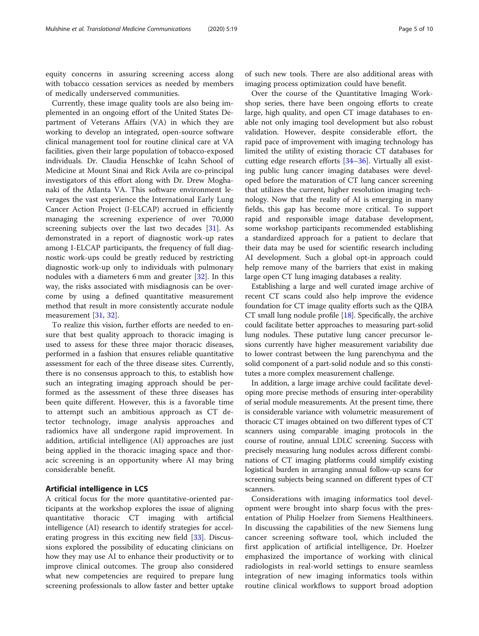equity concerns in assuring screening access along with tobacco cessation services as needed by members of medically underserved communities.

Currently, these image quality tools are also being implemented in an ongoing effort of the United States Department of Veterans Affairs (VA) in which they are working to develop an integrated, open-source software clinical management tool for routine clinical care at VA facilities, given their large population of tobacco-exposed individuals. Dr. Claudia Henschke of Icahn School of Medicine at Mount Sinai and Rick Avila are co-principal investigators of this effort along with Dr. Drew Moghanaki of the Atlanta VA. This software environment leverages the vast experience the International Early Lung Cancer Action Project (I-ELCAP) accrued in efficiently managing the screening experience of over 70,000 screening subjects over the last two decades [\[31](#page-9-0)]. As demonstrated in a report of diagnostic work-up rates among I-ELCAP participants, the frequency of full diagnostic work-ups could be greatly reduced by restricting diagnostic work-up only to individuals with pulmonary nodules with a diameters 6 mm and greater [[32\]](#page-9-0). In this way, the risks associated with misdiagnosis can be overcome by using a defined quantitative measurement method that result in more consistently accurate nodule measurement [\[31,](#page-9-0) [32\]](#page-9-0).

To realize this vision, further efforts are needed to ensure that best quality approach to thoracic imaging is used to assess for these three major thoracic diseases, performed in a fashion that ensures reliable quantitative assessment for each of the three disease sites. Currently, there is no consensus approach to this, to establish how such an integrating imaging approach should be performed as the assessment of these three diseases has been quite different. However, this is a favorable time to attempt such an ambitious approach as CT detector technology, image analysis approaches and radiomics have all undergone rapid improvement. In addition, artificial intelligence (AI) approaches are just being applied in the thoracic imaging space and thoracic screening is an opportunity where AI may bring considerable benefit.

## Artificial intelligence in LCS

A critical focus for the more quantitative-oriented participants at the workshop explores the issue of aligning quantitative thoracic CT imaging with artificial intelligence (AI) research to identify strategies for accelerating progress in this exciting new field [[33\]](#page-9-0). Discussions explored the possibility of educating clinicians on how they may use AI to enhance their productivity or to improve clinical outcomes. The group also considered what new competencies are required to prepare lung screening professionals to allow faster and better uptake

of such new tools. There are also additional areas with imaging process optimization could have benefit.

Over the course of the Quantitative Imaging Workshop series, there have been ongoing efforts to create large, high quality, and open CT image databases to enable not only imaging tool development but also robust validation. However, despite considerable effort, the rapid pace of improvement with imaging technology has limited the utility of existing thoracic CT databases for cutting edge research efforts [[34](#page-9-0)–[36](#page-9-0)]. Virtually all existing public lung cancer imaging databases were developed before the maturation of CT lung cancer screening that utilizes the current, higher resolution imaging technology. Now that the reality of AI is emerging in many fields, this gap has become more critical. To support rapid and responsible image database development, some workshop participants recommended establishing a standardized approach for a patient to declare that their data may be used for scientific research including AI development. Such a global opt-in approach could help remove many of the barriers that exist in making large open CT lung imaging databases a reality.

Establishing a large and well curated image archive of recent CT scans could also help improve the evidence foundation for CT image quality efforts such as the QIBA CT small lung nodule profile [\[18](#page-8-0)]. Specifically, the archive could facilitate better approaches to measuring part-solid lung nodules. These putative lung cancer precursor lesions currently have higher measurement variability due to lower contrast between the lung parenchyma and the solid component of a part-solid nodule and so this constitutes a more complex measurement challenge.

In addition, a large image archive could facilitate developing more precise methods of ensuring inter-operability of serial module measurements. At the present time, there is considerable variance with volumetric measurement of thoracic CT images obtained on two different types of CT scanners using comparable imaging protocols in the course of routine, annual LDLC screening. Success with precisely measuring lung nodules across different combinations of CT imaging platforms could simplify existing logistical burden in arranging annual follow-up scans for screening subjects being scanned on different types of CT scanners.

Considerations with imaging informatics tool development were brought into sharp focus with the presentation of Philip Hoelzer from Siemens Healthineers. In discussing the capabilities of the new Siemens lung cancer screening software tool, which included the first application of artificial intelligence, Dr. Hoelzer emphasized the importance of working with clinical radiologists in real-world settings to ensure seamless integration of new imaging informatics tools within routine clinical workflows to support broad adoption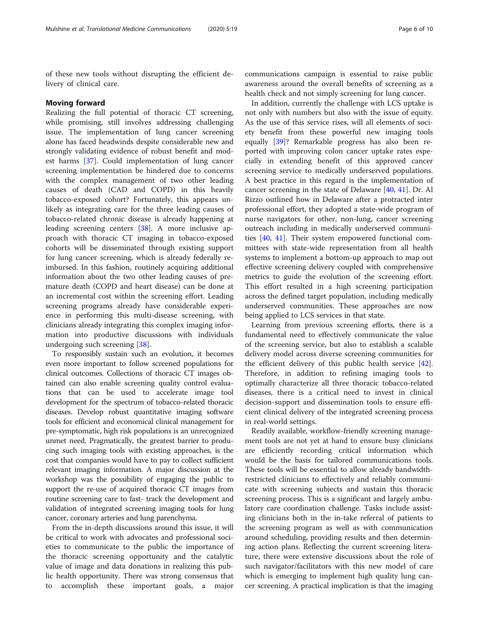of these new tools without disrupting the efficient delivery of clinical care.

#### Moving forward

Realizing the full potential of thoracic CT screening, while promising, still involves addressing challenging issue. The implementation of lung cancer screening alone has faced headwinds despite considerable new and strongly validating evidence of robust benefit and modest harms [\[37\]](#page-9-0). Could implementation of lung cancer screening implementation be hindered due to concerns with the complex management of two other leading causes of death (CAD and COPD) in this heavily tobacco-exposed cohort? Fortunately, this appears unlikely as integrating care for the three leading causes of tobacco-related chronic disease is already happening at leading screening centers [[38\]](#page-9-0). A more inclusive approach with thoracic CT imaging in tobacco-exposed cohorts will be disseminated through existing support for lung cancer screening, which is already federally reimbursed. In this fashion, routinely acquiring additional information about the two other leading causes of premature death (COPD and heart disease) can be done at an incremental cost within the screening effort. Leading screening programs already have considerable experience in performing this multi-disease screening, with clinicians already integrating this complex imaging information into productive discussions with individuals undergoing such screening [[38\]](#page-9-0).

To responsibly sustain such an evolution, it becomes even more important to follow screened populations for clinical outcomes. Collections of thoracic CT images obtained can also enable screening quality control evaluations that can be used to accelerate image tool development for the spectrum of tobacco-related thoracic diseases. Develop robust quantitative imaging software tools for efficient and economical clinical management for pre-symptomatic, high risk populations is an unrecognized unmet need. Pragmatically, the greatest barrier to producing such imaging tools with existing approaches, is the cost that companies would have to pay to collect sufficient relevant imaging information. A major discussion at the workshop was the possibility of engaging the public to support the re-use of acquired thoracic CT images from routine screening care to fast- track the development and validation of integrated screening imaging tools for lung cancer, coronary arteries and lung parenchyma.

From the in-depth discussions around this issue, it will be critical to work with advocates and professional societies to communicate to the public the importance of the thoracic screening opportunity and the catalytic value of image and data donations in realizing this public health opportunity. There was strong consensus that to accomplish these important goals, a major

communications campaign is essential to raise public awareness around the overall benefits of screening as a health check and not simply screening for lung cancer.

In addition, currently the challenge with LCS uptake is not only with numbers but also with the issue of equity. As the use of this service rises, will all elements of society benefit from these powerful new imaging tools equally [[39\]](#page-9-0)? Remarkable progress has also been reported with improving colon cancer uptake rates especially in extending benefit of this approved cancer screening service to medically underserved populations. A best practice in this regard is the implementation of cancer screening in the state of Delaware [[40,](#page-9-0) [41\]](#page-9-0). Dr. Al Rizzo outlined how in Delaware after a protracted inter professional effort, they adopted a state-wide program of nurse navigators for other, non-lung, cancer screening outreach including in medically underserved communities [\[40,](#page-9-0) [41](#page-9-0)]. Their system empowered functional committees with state-wide representation from all health systems to implement a bottom-up approach to map out effective screening delivery coupled with comprehensive metrics to guide the evolution of the screening effort. This effort resulted in a high screening participation across the defined target population, including medically underserved communities. These approaches are now being applied to LCS services in that state.

Learning from previous screening efforts, there is a fundamental need to effectively communicate the value of the screening service, but also to establish a scalable delivery model across diverse screening communities for the efficient delivery of this public health service [\[42](#page-9-0)]. Therefore, in addition to refining imaging tools to optimally characterize all three thoracic tobacco-related diseases, there is a critical need to invest in clinical decision-support and dissemination tools to ensure efficient clinical delivery of the integrated screening process in real-world settings.

Readily available, workflow-friendly screening management tools are not yet at hand to ensure busy clinicians are efficiently recording critical information which would be the basis for tailored communications tools. These tools will be essential to allow already bandwidthrestricted clinicians to effectively and reliably communicate with screening subjects and sustain this thoracic screening process. This is a significant and largely ambulatory care coordination challenge. Tasks include assisting clinicians both in the in-take referral of patients to the screening program as well as with communication around scheduling, providing results and then determining action plans. Reflecting the current screening literature, there were extensive discussions about the role of such navigator/facilitators with this new model of care which is emerging to implement high quality lung cancer screening. A practical implication is that the imaging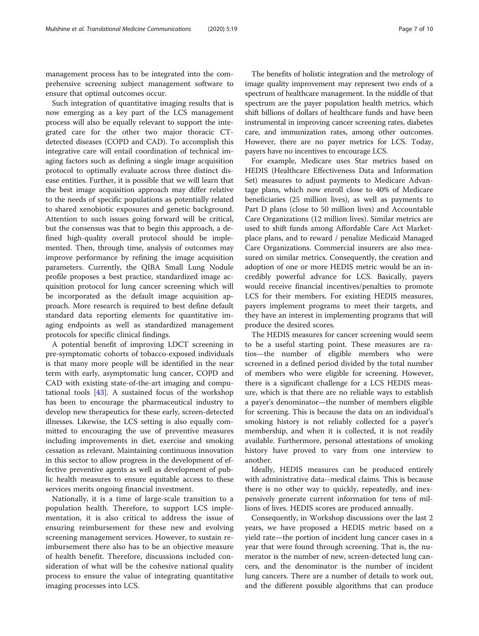management process has to be integrated into the comprehensive screening subject management software to ensure that optimal outcomes occur.

Such integration of quantitative imaging results that is now emerging as a key part of the LCS management process will also be equally relevant to support the integrated care for the other two major thoracic CTdetected diseases (COPD and CAD). To accomplish this integrative care will entail coordination of technical imaging factors such as defining a single image acquisition protocol to optimally evaluate across three distinct disease entities. Further, it is possible that we will learn that the best image acquisition approach may differ relative to the needs of specific populations as potentially related to shared xenobiotic exposures and genetic background. Attention to such issues going forward will be critical, but the consensus was that to begin this approach, a defined high-quality overall protocol should be implemented. Then, through time, analysis of outcomes may improve performance by refining the image acquisition parameters. Currently, the QIBA Small Lung Nodule profile proposes a best practice, standardized image acquisition protocol for lung cancer screening which will be incorporated as the default image acquisition approach. More research is required to best define default standard data reporting elements for quantitative imaging endpoints as well as standardized management protocols for specific clinical findings.

A potential benefit of improving LDCT screening in pre-symptomatic cohorts of tobacco-exposed individuals is that many more people will be identified in the near term with early, asymptomatic lung cancer, COPD and CAD with existing state-of-the-art imaging and computational tools [[43\]](#page-9-0). A sustained focus of the workshop has been to encourage the pharmaceutical industry to develop new therapeutics for these early, screen-detected illnesses. Likewise, the LCS setting is also equally committed to encouraging the use of preventive measures including improvements in diet, exercise and smoking cessation as relevant. Maintaining continuous innovation in this sector to allow progress in the development of effective preventive agents as well as development of public health measures to ensure equitable access to these services merits ongoing financial investment.

Nationally, it is a time of large-scale transition to a population health. Therefore, to support LCS implementation, it is also critical to address the issue of ensuring reimbursement for these new and evolving screening management services. However, to sustain reimbursement there also has to be an objective measure of health benefit. Therefore, discussions included consideration of what will be the cohesive national quality process to ensure the value of integrating quantitative imaging processes into LCS.

The benefits of holistic integration and the metrology of image quality improvement may represent two ends of a spectrum of healthcare management. In the middle of that spectrum are the payer population health metrics, which shift billions of dollars of healthcare funds and have been instrumental in improving cancer screening rates, diabetes care, and immunization rates, among other outcomes. However, there are no payer metrics for LCS. Today, payers have no incentives to encourage LCS.

For example, Medicare uses Star metrics based on HEDIS (Healthcare Effectiveness Data and Information Set) measures to adjust payments to Medicare Advantage plans, which now enroll close to 40% of Medicare beneficiaries (25 million lives), as well as payments to Part D plans (close to 50 million lives) and Accountable Care Organizations (12 million lives). Similar metrics are used to shift funds among Affordable Care Act Marketplace plans, and to reward / penalize Medicaid Managed Care Organizations. Commercial insurers are also measured on similar metrics. Consequently, the creation and adoption of one or more HEDIS metric would be an incredibly powerful advance for LCS. Basically, payers would receive financial incentives/penalties to promote LCS for their members. For existing HEDIS measures, payers implement programs to meet their targets, and they have an interest in implementing programs that will produce the desired scores.

The HEDIS measures for cancer screening would seem to be a useful starting point. These measures are ratios—the number of eligible members who were screened in a defined period divided by the total number of members who were eligible for screening. However, there is a significant challenge for a LCS HEDIS measure, which is that there are no reliable ways to establish a payer's denominator—the number of members eligible for screening. This is because the data on an individual's smoking history is not reliably collected for a payer's membership, and when it is collected, it is not readily available. Furthermore, personal attestations of smoking history have proved to vary from one interview to another.

Ideally, HEDIS measures can be produced entirely with administrative data--medical claims. This is because there is no other way to quickly, repeatedly, and inexpensively generate current information for tens of millions of lives. HEDIS scores are produced annually.

Consequently, in Workshop discussions over the last 2 years, we have proposed a HEDIS metric based on a yield rate—the portion of incident lung cancer cases in a year that were found through screening. That is, the numerator is the number of new, screen-detected lung cancers, and the denominator is the number of incident lung cancers. There are a number of details to work out, and the different possible algorithms that can produce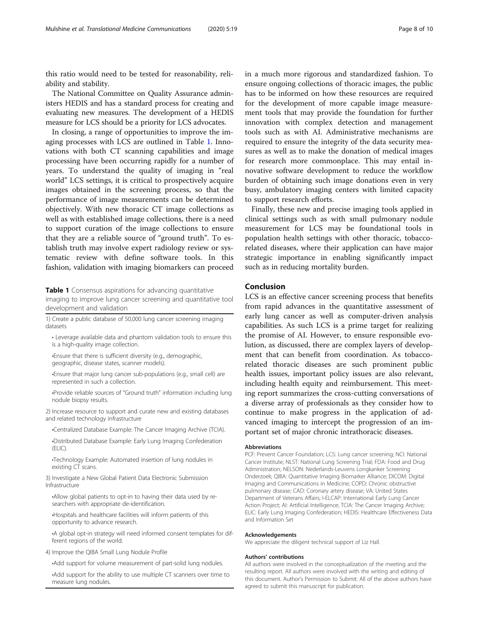this ratio would need to be tested for reasonability, reliability and stability.

The National Committee on Quality Assurance administers HEDIS and has a standard process for creating and evaluating new measures. The development of a HEDIS measure for LCS should be a priority for LCS advocates.

In closing, a range of opportunities to improve the imaging processes with LCS are outlined in Table 1. Innovations with both CT scanning capabilities and image processing have been occurring rapidly for a number of years. To understand the quality of imaging in "real world" LCS settings, it is critical to prospectively acquire images obtained in the screening process, so that the performance of image measurements can be determined objectively. With new thoracic CT image collections as well as with established image collections, there is a need to support curation of the image collections to ensure that they are a reliable source of "ground truth". To establish truth may involve expert radiology review or systematic review with define software tools. In this fashion, validation with imaging biomarkers can proceed

Table 1 Consensus aspirations for advancing quantitative

imaging to improve lung cancer screening and quantitative tool development and validation

1) Create a public database of 50,000 lung cancer screening imaging datasets

• Leverage available data and phantom validation tools to ensure this is a high-quality image collection.

•Ensure that there is sufficient diversity (e.g., demographic, geographic, disease states, scanner models).

•Ensure that major lung cancer sub-populations (e.g., small cell) are represented in such a collection.

•Provide reliable sources of "Ground truth" information including lung nodule biopsy results.

2) Increase resource to support and curate new and existing databases and related technology infrastructure

•Centralized Database Example: The Cancer Imaging Archive (TCIA).

•Distributed Database Example: Early Lung Imaging Confederation  $(FLIC)$ .

•Technology Example: Automated insertion of lung nodules in existing CT scans.

3) Investigate a New Global Patient Data Electronic Submission Infrastructure

•Allow global patients to opt-in to having their data used by researchers with appropriate de-identification.

•Hospitals and healthcare facilities will inform patients of this opportunity to advance research.

•A global opt-in strategy will need informed consent templates for different regions of the world.

4) Improve the QIBA Small Lung Nodule Profile

•Add support for volume measurement of part-solid lung nodules.

•Add support for the ability to use multiple CT scanners over time to measure lung nodules.

in a much more rigorous and standardized fashion. To ensure ongoing collections of thoracic images, the public has to be informed on how these resources are required for the development of more capable image measurement tools that may provide the foundation for further innovation with complex detection and management tools such as with AI. Administrative mechanisms are required to ensure the integrity of the data security measures as well as to make the donation of medical images for research more commonplace. This may entail innovative software development to reduce the workflow burden of obtaining such image donations even in very busy, ambulatory imaging centers with limited capacity to support research efforts.

Finally, these new and precise imaging tools applied in clinical settings such as with small pulmonary nodule measurement for LCS may be foundational tools in population health settings with other thoracic, tobaccorelated diseases, where their application can have major strategic importance in enabling significantly impact such as in reducing mortality burden.

## Conclusion

LCS is an effective cancer screening process that benefits from rapid advances in the quantitative assessment of early lung cancer as well as computer-driven analysis capabilities. As such LCS is a prime target for realizing the promise of AI. However, to ensure responsible evolution, as discussed, there are complex layers of development that can benefit from coordination. As tobaccorelated thoracic diseases are such prominent public health issues, important policy issues are also relevant, including health equity and reimbursement. This meeting report summarizes the cross-cutting conversations of a diverse array of professionals as they consider how to continue to make progress in the application of advanced imaging to intercept the progression of an important set of major chronic intrathoracic diseases.

#### Abbreviations

PCF: Prevent Cancer Foundation; LCS: Lung cancer screening; NCI: National Cancer Institute; NLST: National Lung Screening Trial; FDA: Food and Drug Administration: NELSON: Nederlands-Leuvens Longkanker Screening Onderzoek; QIBA: Quantitative Imaging Biomarker Alliance; DICOM: Digital Imaging and Communications in Medicine; COPD: Chronic obstructive pulmonary disease; CAD: Coronary artery disease; VA: United States Department of Veterans Affairs; I-ELCAP: International Early Lung Cancer Action Project; AI: Artificial Intelligence; TCIA: The Cancer Imaging Archive; ELIC: Early Lung Imaging Confederation; HEDIS: Healthcare Effectiveness Data and Information Set

#### Acknowledgements

We appreciate the diligent technical support of Liz Hall.

#### Authors' contributions

All authors were involved in the conceptualization of the meeting and the resulting report. All authors were involved with the writing and editing of this document. Author's Permission to Submit: All of the above authors have agreed to submit this manuscript for publication.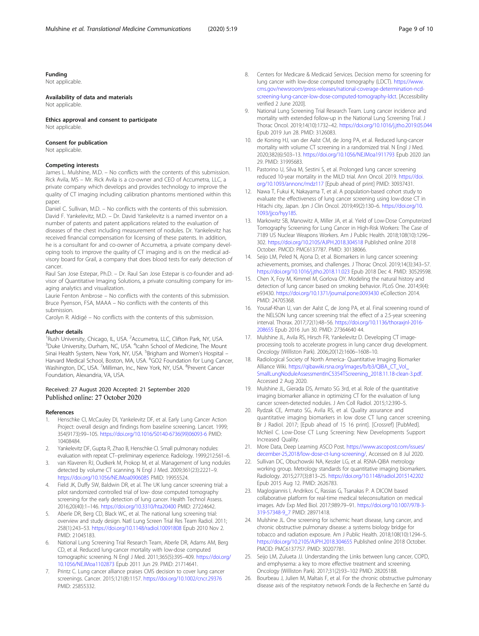## <span id="page-8-0"></span>Funding

Not applicable.

## Availability of data and materials

Not applicable.

Ethics approval and consent to participate Not applicable.

#### Consent for publication

Not applicable.

### Competing interests

James L. Mulshine, M.D. – No conflicts with the contents of this submission. Rick Avila, MS – Mr. Rick Avila is a co-owner and CEO of Accumetra, LLC, a private company which develops and provides technology to improve the quality of CT imaging including calibration phantoms mentioned within this paper.

Daniel C. Sullivan, M.D. – No conflicts with the contents of this submission. David F. Yankelevitz, M.D. – Dr. David Yankelevitz is a named inventor on a number of patents and patent applications related to the evaluation of diseases of the chest including measurement of nodules. Dr. Yankelevitz has received financial compensation for licensing of these patents. In addition, he is a consultant for and co-owner of Accumetra, a private company developing tools to improve the quality of CT imaging and is on the medical advisory board for Grail, a company that does blood tests for early detection of cancer.

Raul San Jose Estepar, Ph.D. – Dr. Raul San Jose Estepar is co-founder and advisor of Quantitative Imaging Solutions, a private consulting company for imaging analytics and visualization.

Laurie Fenton Ambrose – No conflicts with the contents of this submission. Bruce Pyenson, FSA, MAAA – No conflicts with the contents of this submission.

Carolyn R. Aldigé – No conflicts with the contents of this submission.

#### Author details

<sup>1</sup> Rush University, Chicago, IL, USA. <sup>2</sup> Accumetra, LLC, Clifton Park, NY, USA.<br><sup>3</sup> Duka University, Durbam, NG, USA. <sup>4</sup> Icabn School of Medicino. The Mour Duke University, Durham, NC, USA. <sup>4</sup>Icahn School of Medicine, The Mount Sinai Health System, New York, NY, USA. <sup>5</sup>Brigham and Women's Hospital – Harvard Medical School, Boston, MA, USA. <sup>6</sup>GO2 Foundation for Lung Cancer, Washington, DC, USA. <sup>7</sup>Milliman, Inc., New York, NY, USA. <sup>8</sup>Prevent Cancer Foundation, Alexandria, VA, USA.

#### Received: 27 August 2020 Accepted: 21 September 2020 Published online: 27 October 2020

#### References

- Henschke CI, McCauley DI, Yankelevitz DF, et al. Early Lung Cancer Action Project: overall design and findings from baseline screening. Lancet. 1999; 354(9173):99–105. [https://doi.org/10.1016/S0140-6736\(99\)06093-6](https://doi.org/10.1016/S0140-6736(99)06093-6) PMID: 10408484.
- 2. Yankelevitz DF, Gupta R, Zhao B, Henschke CI. Small pulmonary nodules: evaluation with repeat CT--preliminary experience. Radiology. 1999;212:561–6.
- 3. van Klaveren RJ, Oudkerk M, Prokop M, et al. Management of lung nodules detected by volume CT scanning. N Engl J Med. 2009;361(23):2221–9. <https://doi.org/10.1056/NEJMoa0906085> PMID: 19955524.
- 4. Field JK, Duffy SW, Baldwin DR, et al. The UK lung cancer screening trial: a pilot randomized controlled trial of low- dose computed tomography screening for the early detection of lung cancer. Health Technol Assess. 2016;20(40):1–146. <https://doi.org/10.3310/hta20400> PMID: 27224642.
- Aberle DR, Berg CD, Black WC, et al. The national lung screening trial: overview and study design. Natl Lung Screen Trial Res Team Radiol. 2011; 258(1):243–53. <https://doi.org/10.1148/radiol.10091808> Epub 2010 Nov 2. PMID: 21045183.
- 6. National Lung Screening Trial Research Team, Aberle DR, Adams AM, Berg CD, et al. Reduced lung-cancer mortality with low-dose computed tomographic screening. N Engl J Med. 2011;365(5):395–409. [https://doi.org/](https://doi.org/10.1056/NEJMoa1102873) [10.1056/NEJMoa1102873](https://doi.org/10.1056/NEJMoa1102873) Epub 2011 Jun 29. PMID: 21714641.
- 7. Printz C. Lung cancer alliance praises CMS decision to cover lung cancer screenings. Cancer. 2015;121(8):1157. <https://doi.org/10.1002/cncr.29376> PMID: 25855332.
- 8. Centers for Medicare & Medicaid Services. Decision memo for screening for lung cancer with low-dose computed tomography (LDCT). [https://www.](https://www.cms.gov/newsroom/press-releases/national-coverage-determination-ncd-screening-lung-cancer-low-dose-computed-tomography-ldct) [cms.gov/newsroom/press-releases/national-coverage-determination-ncd](https://www.cms.gov/newsroom/press-releases/national-coverage-determination-ncd-screening-lung-cancer-low-dose-computed-tomography-ldct)[screening-lung-cancer-low-dose-computed-tomography-ldct](https://www.cms.gov/newsroom/press-releases/national-coverage-determination-ncd-screening-lung-cancer-low-dose-computed-tomography-ldct). [Accessibility verified 2 June 2020].
- 9. National Lung Screening Trial Research Team. Lung cancer incidence and mortality with extended follow-up in the National Lung Screening Trial. J Thorac Oncol. 2019;14(10):1732–42. <https://doi.org/10.1016/j.jtho.2019.05.044> Epub 2019 Jun 28. PMID: 3126083.
- 10. de Koning HJ, van der Aalst CM, de Jong PA, et al. Reduced lung-cancer mortality with volume CT screening in a randomized trial. N Engl J Med. 2020;382(6):503–13. <https://doi.org/10.1056/NEJMoa1911793> Epub 2020 Jan 29. PMID: 31995683.
- 11. Pastorino U, Silva M, Sestini S, et al. Prolonged lung cancer screening reduced 10-year mortality in the MILD trial. Ann Oncol. 2019. [https://doi.](https://doi.org/10.1093/annonc/mdz117) [org/10.1093/annonc/mdz117](https://doi.org/10.1093/annonc/mdz117) [Epub ahead of print] PMID: 30937431.
- 12. Nawa T, Fukui K, Nakayama T, et al. A population-based cohort study to evaluate the effectiveness of lung cancer screening using low-dose CT in Hitachi city, Japan. Jpn J Clin Oncol. 2019;49(2):130–6. [https://doi.org/10.](https://doi.org/10.1093/jjco/hyy185) [1093/jjco/hyy185](https://doi.org/10.1093/jjco/hyy185).
- 13. Markowitz SB, Manowitz A, Miller JA, et al. Yield of Low-Dose Computerized Tomography Screening for Lung Cancer in High-Risk Workers: The Case of 7189 US Nuclear Weapons Workers. Am J Public Health. 2018;108(10):1296– 302. <https://doi.org/10.2105/AJPH.2018.304518> Published online 2018 October. PMCID: PMC6137787. PMID: 30138066.
- 14. Seijo LM, Peled N, Ajona D, et al. Biomarkers in lung cancer screening: achievements, promises, and challenges. J Thorac Oncol. 2019;14(3):343–57. <https://doi.org/10.1016/j.jtho.2018.11.023> Epub 2018 Dec 4. PMID: 30529598.
- 15. Chen X, Foy M, Kimmel M, Gorlova OY. Modeling the natural history and detection of lung cancer based on smoking behavior. PLoS One. 2014;9(4): e93430. <https://doi.org/10.1371/journal.pone.0093430> eCollection 2014. PMID: 24705368.
- 16. Yousaf-Khan U, van der Aalst C, de Jong PA, et al. Final screening round of the NELSON lung cancer screening trial: the effect of a 2.5-year screening interval. Thorax. 2017;72(1):48–56. [https://doi.org/10.1136/thoraxjnl-2016-](https://doi.org/10.1136/thoraxjnl-2016-208655) [208655](https://doi.org/10.1136/thoraxjnl-2016-208655) Epub 2016 Jun 30. PMID: 27364640 44.
- 17. Mulshine JL, Avila RS, Hirsch FR, Yankelevitz D. Developing CT imageprocessing tools to accelerate progress in lung cancer drug development. Oncology (Williston Park). 2006;20(12):1606–1608–10.
- 18. Radiological Society of North America- Quantitative Imaging Biomarker Alliance Wiki. [https://qibawiki.rsna.org/images/b/b3/QIBA\\_CT\\_Vol\\_](https://qibawiki.rsna.org/images/b/b3/QIBA_CT_Vol_SmallLungNoduleAssessmentInC5354TScreening_2018.11.18-clean-3.pdf) [SmallLungNoduleAssessmentInC5354TScreening\\_2018.11.18-clean-3.pdf](https://qibawiki.rsna.org/images/b/b3/QIBA_CT_Vol_SmallLungNoduleAssessmentInC5354TScreening_2018.11.18-clean-3.pdf). Accessed 2 Aug 2020.
- 19. Mulshine JL, Gierada DS, Armato SG 3rd, et al. Role of the quantitative imaging biomarker alliance in optimizing CT for the evaluation of lung cancer screen-detected nodules. J Am Coll Radiol. 2015;12:390–5.
- 20. Rydzak CE, Armato SG, Avila RS, et al. Quality assurance and quantitative imaging biomarkers in low dose CT lung cancer screening. Br J Radiol. 2017; [Epub ahead of 15 16 print]. [Crossref] [PubMed]. McNeil C. Low-Dose CT Lung Screening: New Developments Support Increased Quality.
- 21. More Data, Deep Learning ASCO Post. [https://www.ascopost.com/issues/](https://www.ascopost.com/issues/december-25,2018/low-dose-ct-lung-screening/) [december-25,2018/low-dose-ct-lung-screening/](https://www.ascopost.com/issues/december-25,2018/low-dose-ct-lung-screening/), Accessed on 8 Jul 2020.
- 22. Sullivan DC, Obuchowski NA, Kessler LG, et al. RSNA-QIBA metrology working group. Metrology standards for quantitative imaging biomarkers. Radiology. 2015;277(3):813–25. <https://doi.org/10.1148/radiol.2015142202> Epub 2015 Aug 12. PMID: 2626783.
- 23. Maglogiannis I, Andrikos C, Rassias G, Tsanakas P. A DICOM based collaborative platform for real-time medical teleconsultation on medical images. Adv Exp Med Biol. 2017;989:79–91. [https://doi.org/10.1007/978-3-](https://doi.org/10.1007/978-3-319-57348-9_7) [319-57348-9\\_7](https://doi.org/10.1007/978-3-319-57348-9_7) PMID: 28971418.
- 24. Mulshine JL. One screening for ischemic heart disease, lung cancer, and chronic obstructive pulmonary disease: a systems biology bridge for tobacco and radiation exposure. Am J Public Health. 2018;108(10):1294–5. <https://doi.org/10.2105/AJPH.2018.304655> Published online 2018 October. PMCID: PMC6137757. PMID: 30207781.
- 25. Seijo LM, Zulueta JJ. Understanding the Links between lung cancer, COPD, and emphysema: a key to more effective treatment and screening. Oncology (Williston Park). 2017;31(2):93–102 PMID: 28205188.
- 26. Bourbeau J, Julien M, Maltais F, et al. For the chronic obstructive pulmonary disease axis of the respiratory network Fonds de la Recherche en Santé du